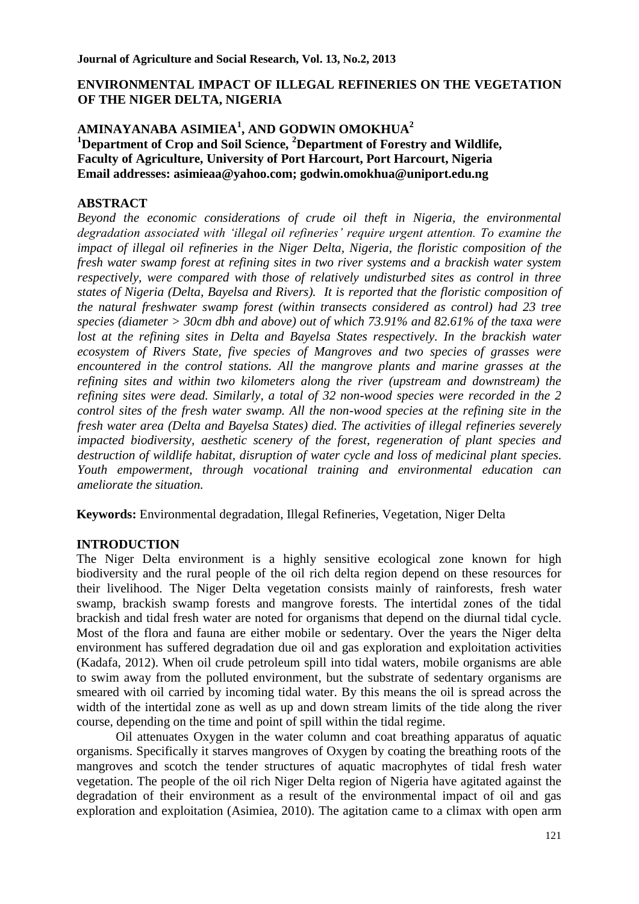## **ENVIRONMENTAL IMPACT OF ILLEGAL REFINERIES ON THE VEGETATION OF THE NIGER DELTA, NIGERIA**

## **AMINAYANABA ASIMIEA<sup>1</sup> , AND GODWIN OMOKHUA<sup>2</sup> <sup>1</sup>Department of Crop and Soil Science, <sup>2</sup>Department of Forestry and Wildlife, Faculty of Agriculture, University of Port Harcourt, Port Harcourt, Nigeria Email addresses: asimieaa@yahoo.com; godwin.omokhua@uniport.edu.ng**

## **ABSTRACT**

*Beyond the economic considerations of crude oil theft in Nigeria, the environmental degradation associated with 'illegal oil refineries' require urgent attention. To examine the impact of illegal oil refineries in the Niger Delta, Nigeria, the floristic composition of the fresh water swamp forest at refining sites in two river systems and a brackish water system respectively, were compared with those of relatively undisturbed sites as control in three states of Nigeria (Delta, Bayelsa and Rivers). It is reported that the floristic composition of the natural freshwater swamp forest (within transects considered as control) had 23 tree species (diameter > 30cm dbh and above) out of which 73.91% and 82.61% of the taxa were lost at the refining sites in Delta and Bayelsa States respectively. In the brackish water ecosystem of Rivers State, five species of Mangroves and two species of grasses were encountered in the control stations. All the mangrove plants and marine grasses at the refining sites and within two kilometers along the river (upstream and downstream) the refining sites were dead. Similarly, a total of 32 non-wood species were recorded in the 2 control sites of the fresh water swamp. All the non-wood species at the refining site in the fresh water area (Delta and Bayelsa States) died. The activities of illegal refineries severely impacted biodiversity, aesthetic scenery of the forest, regeneration of plant species and destruction of wildlife habitat, disruption of water cycle and loss of medicinal plant species. Youth empowerment, through vocational training and environmental education can ameliorate the situation.* 

**Keywords:** Environmental degradation, Illegal Refineries, Vegetation, Niger Delta

# **INTRODUCTION**

The Niger Delta environment is a highly sensitive ecological zone known for high biodiversity and the rural people of the oil rich delta region depend on these resources for their livelihood. The Niger Delta vegetation consists mainly of rainforests, fresh water swamp, brackish swamp forests and mangrove forests. The intertidal zones of the tidal brackish and tidal fresh water are noted for organisms that depend on the diurnal tidal cycle. Most of the flora and fauna are either mobile or sedentary. Over the years the Niger delta environment has suffered degradation due oil and gas exploration and exploitation activities (Kadafa, 2012). When oil crude petroleum spill into tidal waters, mobile organisms are able to swim away from the polluted environment, but the substrate of sedentary organisms are smeared with oil carried by incoming tidal water. By this means the oil is spread across the width of the intertidal zone as well as up and down stream limits of the tide along the river course, depending on the time and point of spill within the tidal regime.

Oil attenuates Oxygen in the water column and coat breathing apparatus of aquatic organisms. Specifically it starves mangroves of Oxygen by coating the breathing roots of the mangroves and scotch the tender structures of aquatic macrophytes of tidal fresh water vegetation. The people of the oil rich Niger Delta region of Nigeria have agitated against the degradation of their environment as a result of the environmental impact of oil and gas exploration and exploitation (Asimiea, 2010). The agitation came to a climax with open arm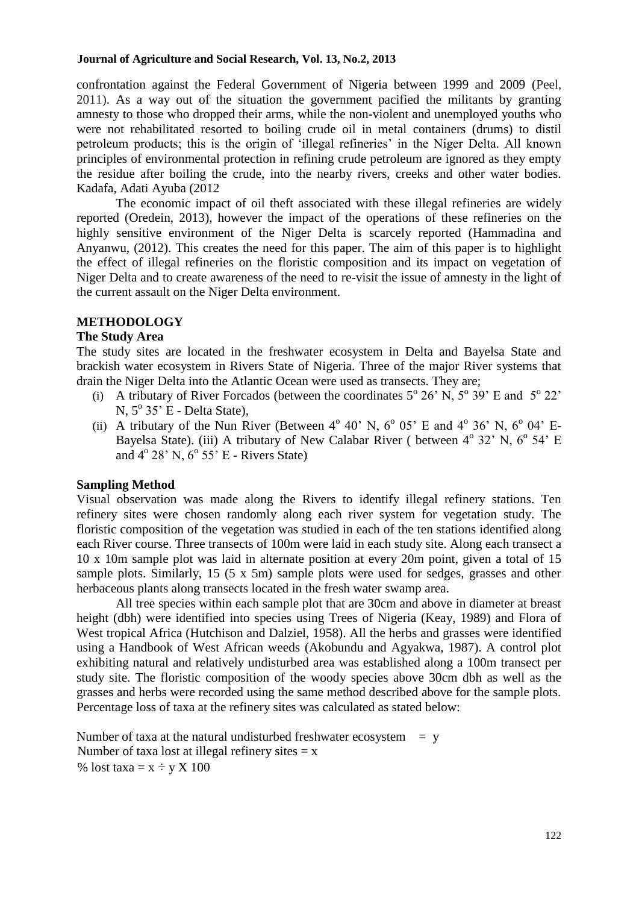#### **Journal of Agriculture and Social Research, Vol. 13, No.2, 2013**

confrontation against the Federal Government of Nigeria between 1999 and 2009 (Peel, 2011). As a way out of the situation the government pacified the militants by granting amnesty to those who dropped their arms, while the non-violent and unemployed youths who were not rehabilitated resorted to boiling crude oil in metal containers (drums) to distil petroleum products; this is the origin of 'illegal refineries' in the Niger Delta. All known principles of environmental protection in refining crude petroleum are ignored as they empty the residue after boiling the crude, into the nearby rivers, creeks and other water bodies. Kadafa, Adati Ayuba (2012

The economic impact of oil theft associated with these illegal refineries are widely reported (Oredein, 2013), however the impact of the operations of these refineries on the highly sensitive environment of the Niger Delta is scarcely reported (Hammadina and Anyanwu, (2012). This creates the need for this paper. The aim of this paper is to highlight the effect of illegal refineries on the floristic composition and its impact on vegetation of Niger Delta and to create awareness of the need to re-visit the issue of amnesty in the light of the current assault on the Niger Delta environment.

## **METHODOLOGY**

## **The Study Area**

The study sites are located in the freshwater ecosystem in Delta and Bayelsa State and brackish water ecosystem in Rivers State of Nigeria. Three of the major River systems that drain the Niger Delta into the Atlantic Ocean were used as transects. They are;

- (i) A tributary of River Forcados (between the coordinates  $5^{\circ}$  26' N,  $5^{\circ}$  39' E and  $5^{\circ}$  22' N, 5<sup>°</sup> 35<sup>°</sup> E - Delta State),
- (ii) A tributary of the Nun River (Between  $4^{\circ}$  40' N,  $6^{\circ}$  05' E and  $4^{\circ}$  36' N,  $6^{\circ}$  04' E-Bayelsa State). (iii) A tributary of New Calabar River ( between  $4^{\circ}$  32' N,  $6^{\circ}$  54' E and 4<sup>o</sup> 28' N, 6<sup>o</sup> 55' E - Rivers State)

# **Sampling Method**

Visual observation was made along the Rivers to identify illegal refinery stations. Ten refinery sites were chosen randomly along each river system for vegetation study. The floristic composition of the vegetation was studied in each of the ten stations identified along each River course. Three transects of 100m were laid in each study site. Along each transect a 10 x 10m sample plot was laid in alternate position at every 20m point, given a total of 15 sample plots. Similarly, 15 (5 x 5m) sample plots were used for sedges, grasses and other herbaceous plants along transects located in the fresh water swamp area.

All tree species within each sample plot that are 30cm and above in diameter at breast height (dbh) were identified into species using Trees of Nigeria (Keay, 1989) and Flora of West tropical Africa (Hutchison and Dalziel, 1958). All the herbs and grasses were identified using a Handbook of West African weeds (Akobundu and Agyakwa, 1987). A control plot exhibiting natural and relatively undisturbed area was established along a 100m transect per study site. The floristic composition of the woody species above 30cm dbh as well as the grasses and herbs were recorded using the same method described above for the sample plots. Percentage loss of taxa at the refinery sites was calculated as stated below:

Number of taxa at the natural undisturbed freshwater ecosystem  $= v$ Number of taxa lost at illegal refinery sites  $= x$ % lost taxa =  $x \div y X 100$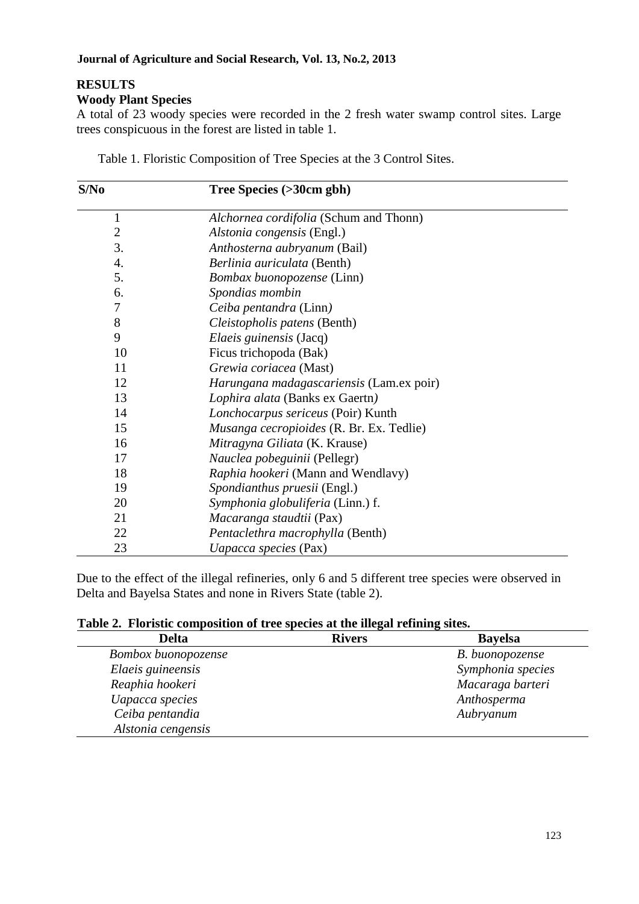#### **Journal of Agriculture and Social Research, Vol. 13, No.2, 2013**

# **RESULTS**

**Woody Plant Species** 

A total of 23 woody species were recorded in the 2 fresh water swamp control sites. Large trees conspicuous in the forest are listed in table 1.

| S/No           | Tree Species (>30cm gbh)                 |  |  |
|----------------|------------------------------------------|--|--|
| 1              | Alchornea cordifolia (Schum and Thonn)   |  |  |
| $\overline{2}$ | Alstonia congensis (Engl.)               |  |  |
| 3.             | Anthosterna aubryanum (Bail)             |  |  |
| 4.             | Berlinia auriculata (Benth)              |  |  |
| 5.             | Bombax buonopozense (Linn)               |  |  |
| 6.             | Spondias mombin                          |  |  |
| 7              | Ceiba pentandra (Linn)                   |  |  |
| 8              | Cleistopholis patens (Benth)             |  |  |
| 9              | <i>Elaeis guinensis</i> (Jacq)           |  |  |
| 10             | Ficus trichopoda (Bak)                   |  |  |
| 11             | Grewia coriacea (Mast)                   |  |  |
| 12             | Harungana madagascariensis (Lam.ex poir) |  |  |
| 13             | Lophira alata (Banks ex Gaertn)          |  |  |
| 14             | Lonchocarpus sericeus (Poir) Kunth       |  |  |
| 15             | Musanga cecropioides (R. Br. Ex. Tedlie) |  |  |
| 16             | Mitragyna Giliata (K. Krause)            |  |  |
| 17             | Nauclea pobeguinii (Pellegr)             |  |  |
| 18             | Raphia hookeri (Mann and Wendlavy)       |  |  |
| 19             | Spondianthus pruesii (Engl.)             |  |  |
| 20             | Symphonia globuliferia (Linn.) f.        |  |  |
| 21             | Macaranga staudtii (Pax)                 |  |  |
| 22             | Pentaclethra macrophylla (Benth)         |  |  |
| 23             | Uapacca species (Pax)                    |  |  |

Table 1. Floristic Composition of Tree Species at the 3 Control Sites.

Due to the effect of the illegal refineries, only 6 and 5 different tree species were observed in Delta and Bayelsa States and none in Rivers State (table 2).

**Table 2. Floristic composition of tree species at the illegal refining sites.** 

| <b>Delta</b>        | <b>Rivers</b> | <b>Bayelsa</b>    |
|---------------------|---------------|-------------------|
| Bombox buonopozense |               | B. buonopozense   |
| Elaeis guineensis   |               | Symphonia species |
| Reaphia hookeri     |               | Macaraga barteri  |
| Uapacca species     |               | Anthosperma       |
| Ceiba pentandia     |               | Aubryanum         |
| Alstonia cengensis  |               |                   |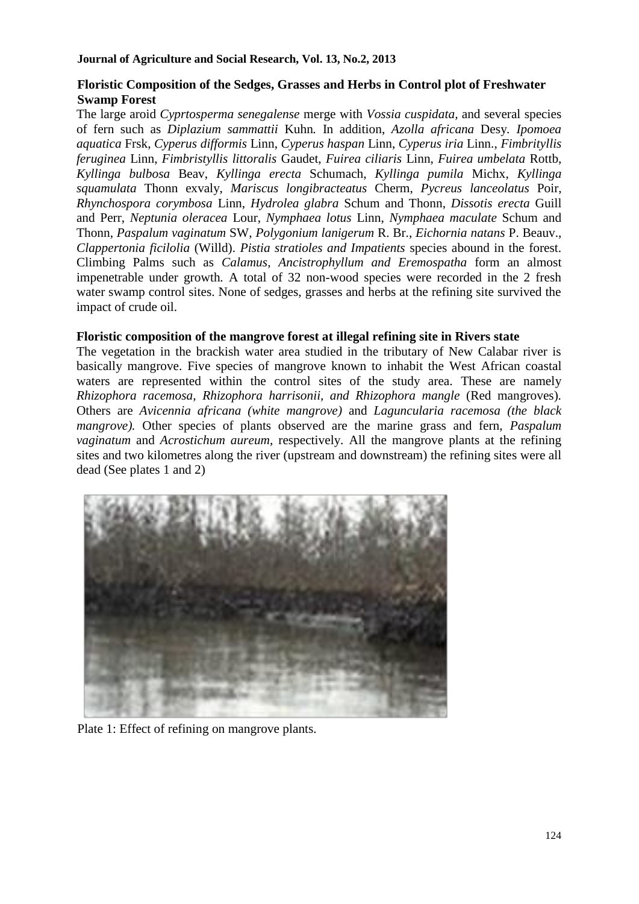## **Floristic Composition of the Sedges, Grasses and Herbs in Control plot of Freshwater Swamp Forest**

The large aroid *Cyprtosperma senegalense* merge with *Vossia cuspidata,* and several species of fern such as *Diplazium sammattii* Kuhn*.* In addition, *Azolla africana* Desy*. Ipomoea aquatica* Frsk, *Cyperus difformis* Linn, *Cyperus haspan* Linn, *Cyperus iria* Linn., *Fimbrityllis feruginea* Linn, *Fimbristyllis littoralis* Gaudet, *Fuirea ciliaris* Linn, *Fuirea umbelata* Rottb, *Kyllinga bulbosa* Beav, *Kyllinga erecta* Schumach, *Kyllinga pumila* Michx, *Kyllinga squamulata* Thonn exvaly, *Mariscus longibracteatus* Cherm, *Pycreus lanceolatus* Poir, *Rhynchospora corymbosa* Linn, *Hydrolea glabra* Schum and Thonn, *Dissotis erecta* Guill and Perr, *Neptunia oleracea* Lour, *Nymphaea lotus* Linn, *Nymphaea maculate* Schum and Thonn, *Paspalum vaginatum* SW, *Polygonium lanigerum* R. Br., *Eichornia natans* P. Beauv., *Clappertonia ficilolia* (Willd). *Pistia stratioles and Impatients* species abound in the forest. Climbing Palms such as *Calamus, Ancistrophyllum and Eremospatha* form an almost impenetrable under growth*.* A total of 32 non-wood species were recorded in the 2 fresh water swamp control sites. None of sedges, grasses and herbs at the refining site survived the impact of crude oil.

## **Floristic composition of the mangrove forest at illegal refining site in Rivers state**

The vegetation in the brackish water area studied in the tributary of New Calabar river is basically mangrove. Five species of mangrove known to inhabit the West African coastal waters are represented within the control sites of the study area. These are namely *Rhizophora racemosa, Rhizophora harrisonii, and Rhizophora mangle* (Red mangroves)*.*  Others are *Avicennia africana (white mangrove)* and *Laguncularia racemosa (the black mangrove).* Other species of plants observed are the marine grass and fern, *Paspalum vaginatum* and *Acrostichum aureum*, respectively. All the mangrove plants at the refining sites and two kilometres along the river (upstream and downstream) the refining sites were all dead (See plates 1 and 2)



Plate 1: Effect of refining on mangrove plants.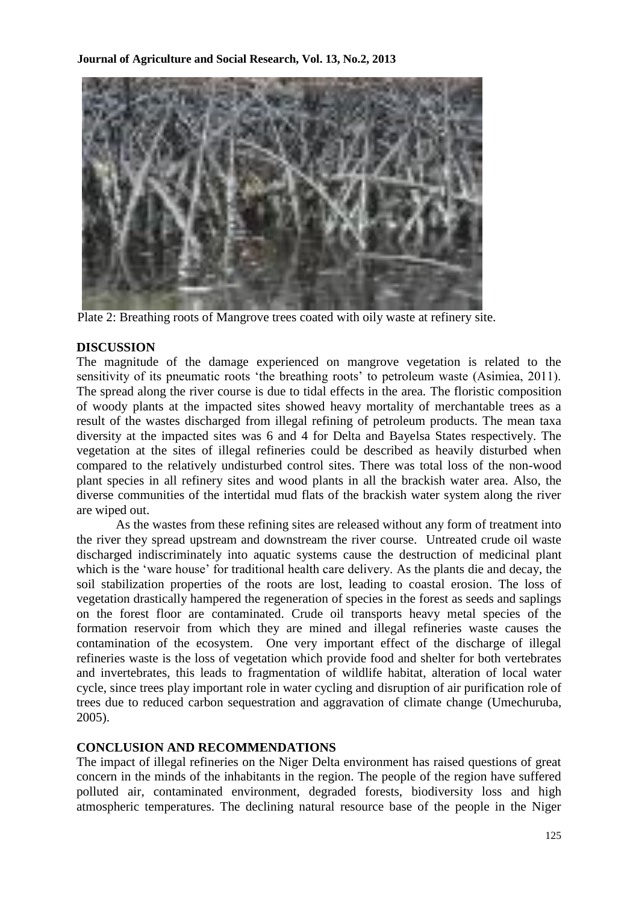

Plate 2: Breathing roots of Mangrove trees coated with oily waste at refinery site.

#### **DISCUSSION**

The magnitude of the damage experienced on mangrove vegetation is related to the sensitivity of its pneumatic roots 'the breathing roots' to petroleum waste (Asimiea, 2011). The spread along the river course is due to tidal effects in the area. The floristic composition of woody plants at the impacted sites showed heavy mortality of merchantable trees as a result of the wastes discharged from illegal refining of petroleum products. The mean taxa diversity at the impacted sites was 6 and 4 for Delta and Bayelsa States respectively. The vegetation at the sites of illegal refineries could be described as heavily disturbed when compared to the relatively undisturbed control sites. There was total loss of the non-wood plant species in all refinery sites and wood plants in all the brackish water area. Also, the diverse communities of the intertidal mud flats of the brackish water system along the river are wiped out.

As the wastes from these refining sites are released without any form of treatment into the river they spread upstream and downstream the river course. Untreated crude oil waste discharged indiscriminately into aquatic systems cause the destruction of medicinal plant which is the 'ware house' for traditional health care delivery. As the plants die and decay, the soil stabilization properties of the roots are lost, leading to coastal erosion. The loss of vegetation drastically hampered the regeneration of species in the forest as seeds and saplings on the forest floor are contaminated. Crude oil transports heavy metal species of the formation reservoir from which they are mined and illegal refineries waste causes the contamination of the ecosystem. One very important effect of the discharge of illegal refineries waste is the loss of vegetation which provide food and shelter for both vertebrates and invertebrates, this leads to fragmentation of wildlife habitat, alteration of local water cycle, since trees play important role in water cycling and disruption of air purification role of trees due to reduced carbon sequestration and aggravation of climate change (Umechuruba, 2005).

#### **CONCLUSION AND RECOMMENDATIONS**

The impact of illegal refineries on the Niger Delta environment has raised questions of great concern in the minds of the inhabitants in the region. The people of the region have suffered polluted air, contaminated environment, degraded forests, biodiversity loss and high atmospheric temperatures. The declining natural resource base of the people in the Niger